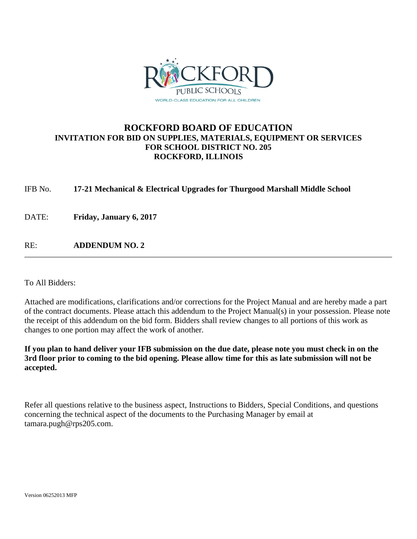

## **ROCKFORD BOARD OF EDUCATION INVITATION FOR BID ON SUPPLIES, MATERIALS, EQUIPMENT OR SERVICES FOR SCHOOL DISTRICT NO. 205 ROCKFORD, ILLINOIS**

IFB No. **17-21 Mechanical & Electrical Upgrades for Thurgood Marshall Middle School**

DATE: **Friday, January 6, 2017**

RE: **ADDENDUM NO. 2**

To All Bidders:

Attached are modifications, clarifications and/or corrections for the Project Manual and are hereby made a part of the contract documents. Please attach this addendum to the Project Manual(s) in your possession. Please note the receipt of this addendum on the bid form. Bidders shall review changes to all portions of this work as changes to one portion may affect the work of another.

**If you plan to hand deliver your IFB submission on the due date, please note you must check in on the 3rd floor prior to coming to the bid opening. Please allow time for this as late submission will not be accepted.**

Refer all questions relative to the business aspect, Instructions to Bidders, Special Conditions, and questions concerning the technical aspect of the documents to the Purchasing Manager by email at tamara.pugh@rps205.com.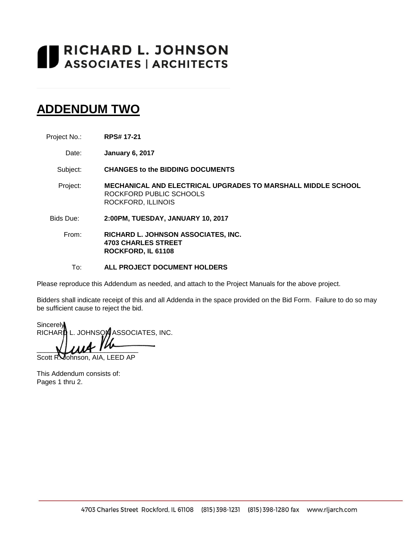# RICHARD L. JOHNSON<br>ASSOCIATES | ARCHITECTS

## **ADDENDUM TWO**

- Project No.: **RPS# 17-21**
	- Date: **January 6, 2017**

Subject: **CHANGES to the BIDDING DOCUMENTS**

- Project: **MECHANICAL AND ELECTRICAL UPGRADES TO MARSHALL MIDDLE SCHOOL** ROCKFORD PUBLIC SCHOOLS ROCKFORD, ILLINOIS
- Bids Due: **2:00PM, TUESDAY, JANUARY 10, 2017**
	- From: **RICHARD L. JOHNSON ASSOCIATES, INC. 4703 CHARLES STREET ROCKFORD, IL 61108**
		- To: **ALL PROJECT DOCUMENT HOLDERS**

Please reproduce this Addendum as needed, and attach to the Project Manuals for the above project.

Bidders shall indicate receipt of this and all Addenda in the space provided on the Bid Form. Failure to do so may be sufficient cause to reject the bid.

**Sincerely** RICHARD L. JOHNSON ASSOCIATES, INC.  $\bigcup \mathcal{U} \mathcal{U}$ 

Scott R. Johnson, AIA, LEED AP

This Addendum consists of: Pages 1 thru 2.